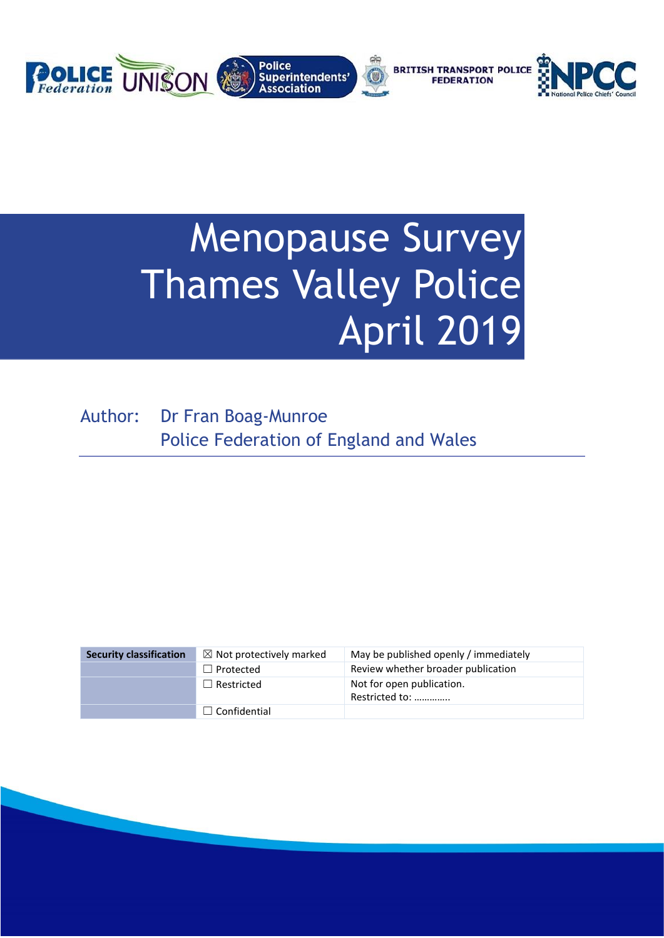

# Menopause Survey Thames Valley Police April 2019

Author: Dr Fran Boag-Munroe Police Federation of England and Wales

| <b>Security classification</b> | $\boxtimes$ Not protectively marked | May be published openly / immediately       |
|--------------------------------|-------------------------------------|---------------------------------------------|
|                                | $\Box$ Protected                    | Review whether broader publication          |
|                                | $\Box$ Restricted                   | Not for open publication.<br>Restricted to: |
|                                | $\Box$ Confidential                 |                                             |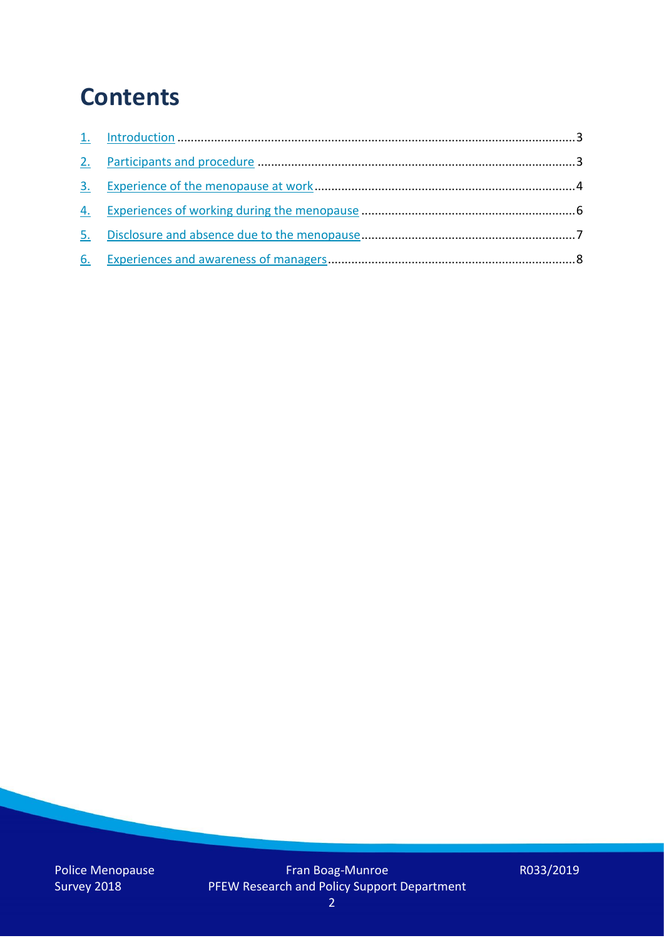## **Contents**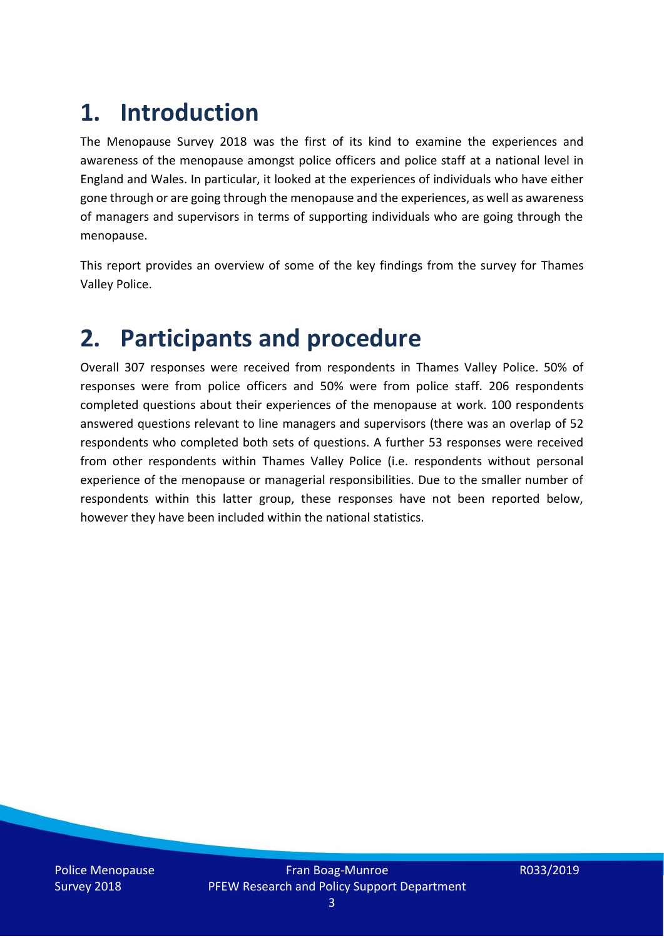# **1. Introduction**

The Menopause Survey 2018 was the first of its kind to examine the experiences and awareness of the menopause amongst police officers and police staff at a national level in England and Wales. In particular, it looked at the experiences of individuals who have either gone through or are going through the menopause and the experiences, as well as awareness of managers and supervisors in terms of supporting individuals who are going through the menopause.

This report provides an overview of some of the key findings from the survey for Thames Valley Police.

### **2. Participants and procedure**

Overall 307 responses were received from respondents in Thames Valley Police. 50% of responses were from police officers and 50% were from police staff. 206 respondents completed questions about their experiences of the menopause at work. 100 respondents answered questions relevant to line managers and supervisors (there was an overlap of 52 respondents who completed both sets of questions. A further 53 responses were received from other respondents within Thames Valley Police (i.e. respondents without personal experience of the menopause or managerial responsibilities. Due to the smaller number of respondents within this latter group, these responses have not been reported below, however they have been included within the national statistics.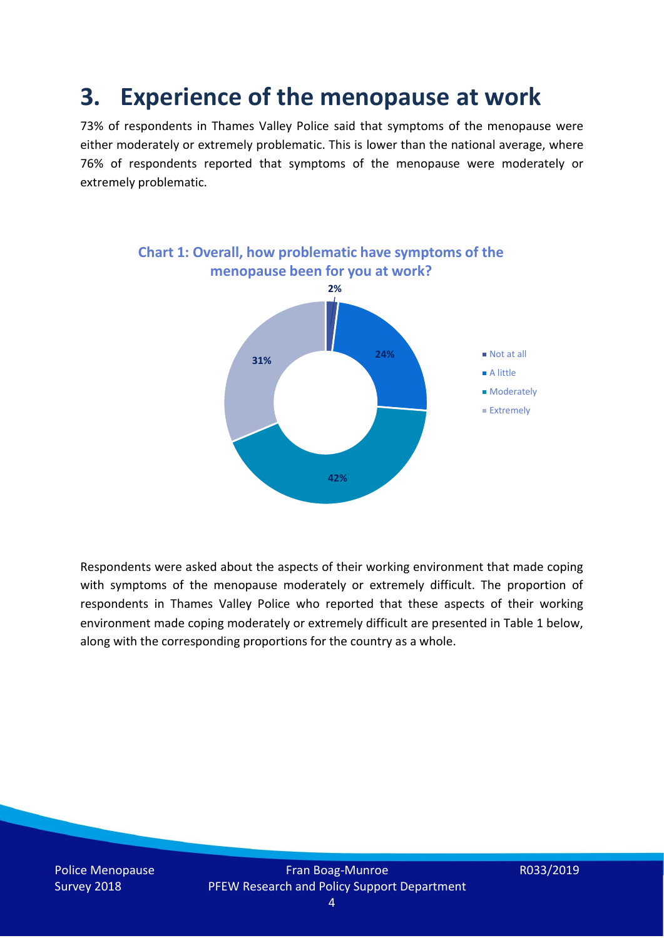### **3. Experience of the menopause at work**

73% of respondents in Thames Valley Police said that symptoms of the menopause were either moderately or extremely problematic. This is lower than the national average, where 76% of respondents reported that symptoms of the menopause were moderately or extremely problematic.



Respondents were asked about the aspects of their working environment that made coping with symptoms of the menopause moderately or extremely difficult. The proportion of respondents in Thames Valley Police who reported that these aspects of their working environment made coping moderately or extremely difficult are presented in Table 1 below, along with the corresponding proportions for the country as a whole.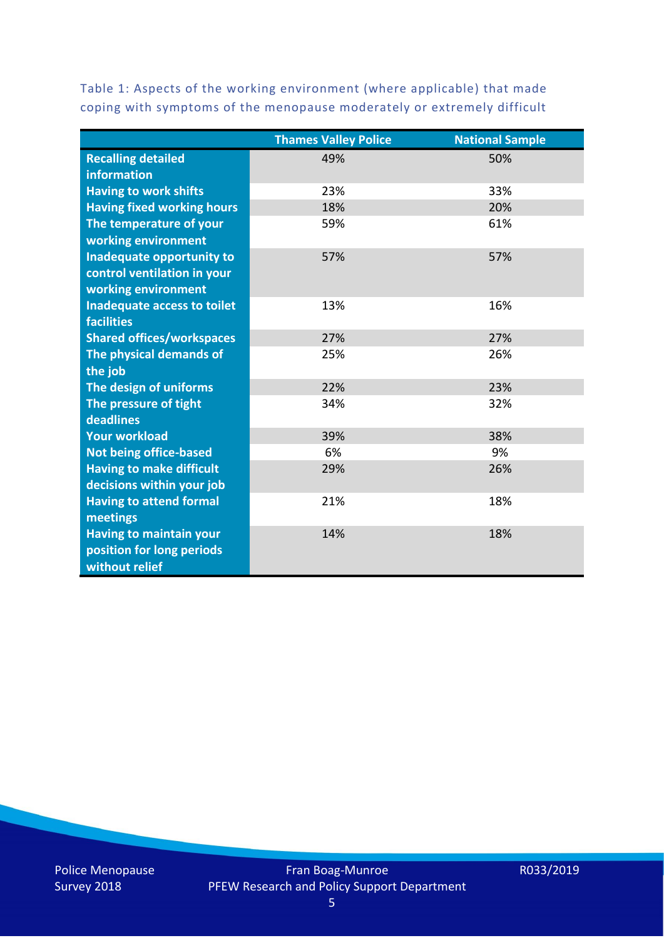Table 1: Aspects of the working environment (where applicable) that made coping with symptoms of the menopause moderately or extremely difficult

|                                   | <b>Thames Valley Police</b> | <b>National Sample</b> |
|-----------------------------------|-----------------------------|------------------------|
| <b>Recalling detailed</b>         | 49%                         | 50%                    |
| information                       |                             |                        |
| <b>Having to work shifts</b>      | 23%                         | 33%                    |
| <b>Having fixed working hours</b> | 18%                         | 20%                    |
| The temperature of your           | 59%                         | 61%                    |
| working environment               |                             |                        |
| Inadequate opportunity to         | 57%                         | 57%                    |
| control ventilation in your       |                             |                        |
| working environment               |                             |                        |
| Inadequate access to toilet       | 13%                         | 16%                    |
| <b>facilities</b>                 |                             |                        |
| <b>Shared offices/workspaces</b>  | 27%                         | 27%                    |
| The physical demands of           | 25%                         | 26%                    |
| the job                           |                             |                        |
| The design of uniforms            | 22%                         | 23%                    |
| The pressure of tight             | 34%                         | 32%                    |
| deadlines                         |                             |                        |
| <b>Your workload</b>              | 39%                         | 38%                    |
| <b>Not being office-based</b>     | 6%                          | 9%                     |
| <b>Having to make difficult</b>   | 29%                         | 26%                    |
| decisions within your job         |                             |                        |
| <b>Having to attend formal</b>    | 21%                         | 18%                    |
| meetings                          |                             |                        |
| <b>Having to maintain your</b>    | 14%                         | 18%                    |
| position for long periods         |                             |                        |
| without relief                    |                             |                        |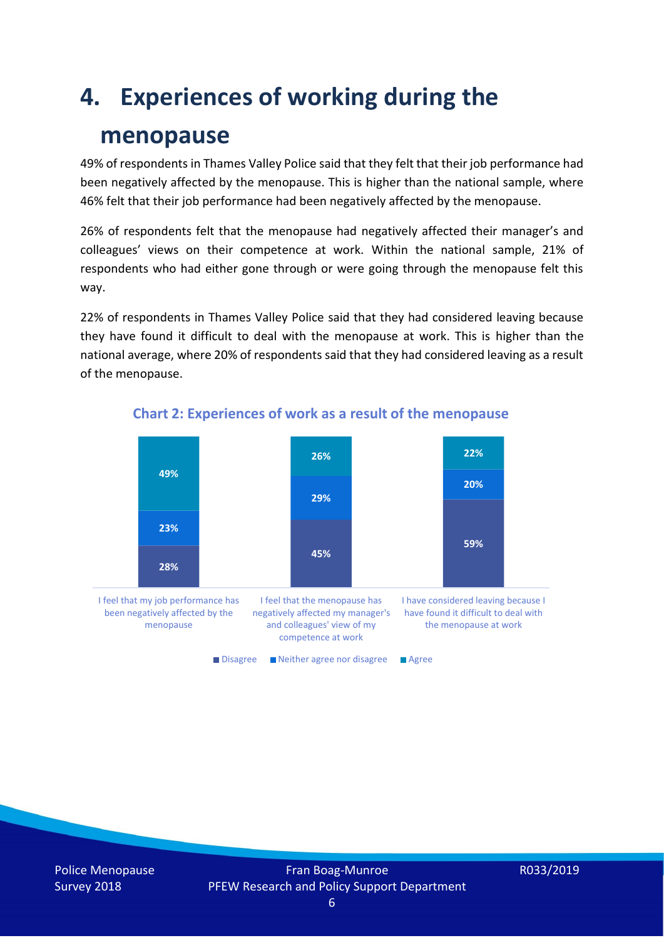## **4. Experiences of working during the**

### **menopause**

49% of respondents in Thames Valley Police said that they felt that their job performance had been negatively affected by the menopause. This is higher than the national sample, where 46% felt that their job performance had been negatively affected by the menopause.

26% of respondents felt that the menopause had negatively affected their manager's and colleagues' views on their competence at work. Within the national sample, 21% of respondents who had either gone through or were going through the menopause felt this way.

22% of respondents in Thames Valley Police said that they had considered leaving because they have found it difficult to deal with the menopause at work. This is higher than the national average, where 20% of respondents said that they had considered leaving as a result of the menopause.



#### **Chart 2: Experiences of work as a result of the menopause**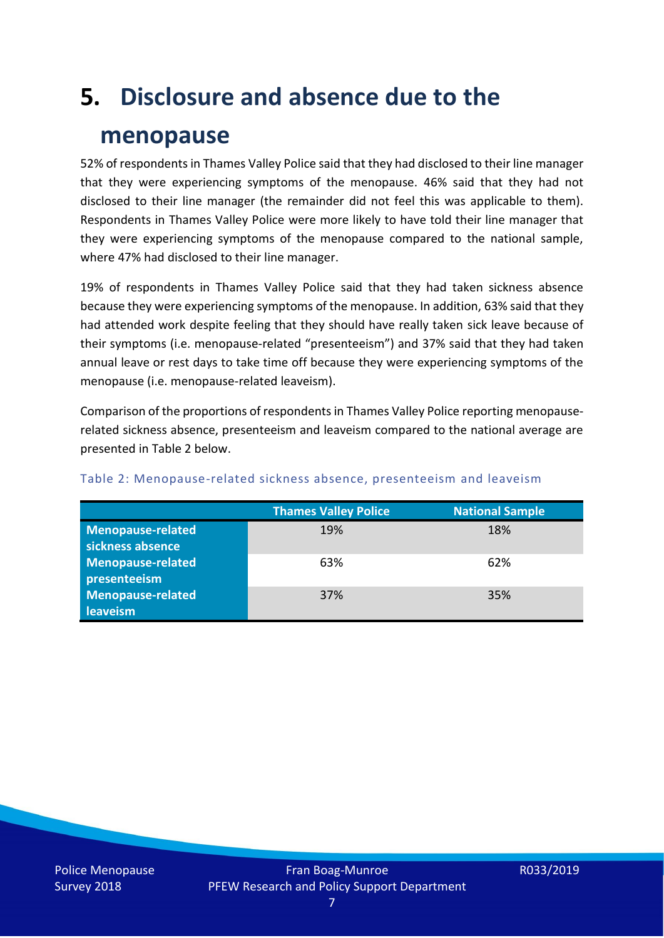## **5. Disclosure and absence due to the**

### **menopause**

52% of respondents in Thames Valley Police said that they had disclosed to their line manager that they were experiencing symptoms of the menopause. 46% said that they had not disclosed to their line manager (the remainder did not feel this was applicable to them). Respondents in Thames Valley Police were more likely to have told their line manager that they were experiencing symptoms of the menopause compared to the national sample, where 47% had disclosed to their line manager.

19% of respondents in Thames Valley Police said that they had taken sickness absence because they were experiencing symptoms of the menopause. In addition, 63% said that they had attended work despite feeling that they should have really taken sick leave because of their symptoms (i.e. menopause-related "presenteeism") and 37% said that they had taken annual leave or rest days to take time off because they were experiencing symptoms of the menopause (i.e. menopause-related leaveism).

Comparison of the proportions of respondents in Thames Valley Police reporting menopauserelated sickness absence, presenteeism and leaveism compared to the national average are presented in Table 2 below.

|                          | <b>Thames Valley Police</b> | <b>National Sample</b> |
|--------------------------|-----------------------------|------------------------|
| <b>Menopause-related</b> | 19%                         | 18%                    |
| sickness absence         |                             |                        |
| <b>Menopause-related</b> | 63%                         | 62%                    |
| presenteeism             |                             |                        |
| <b>Menopause-related</b> | 37%                         | 35%                    |
| leaveism                 |                             |                        |

#### Table 2: Menopause-related sickness absence, presenteeism and leaveism